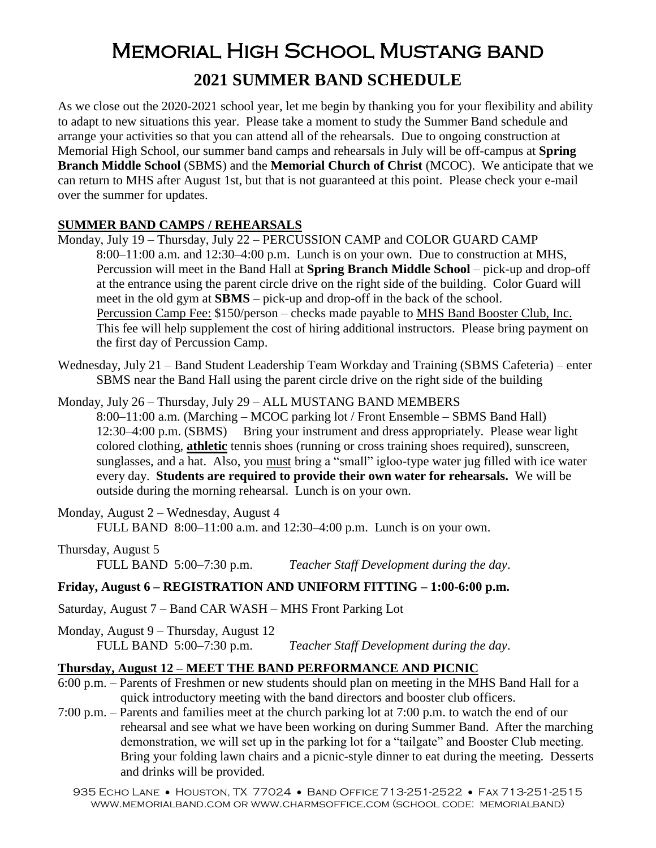# Memorial High School Mustang band **2021 SUMMER BAND SCHEDULE**

As we close out the 2020-2021 school year, let me begin by thanking you for your flexibility and ability to adapt to new situations this year. Please take a moment to study the Summer Band schedule and arrange your activities so that you can attend all of the rehearsals. Due to ongoing construction at Memorial High School, our summer band camps and rehearsals in July will be off-campus at **Spring Branch Middle School** (SBMS) and the **Memorial Church of Christ** (MCOC). We anticipate that we can return to MHS after August 1st, but that is not guaranteed at this point. Please check your e-mail over the summer for updates.

### **SUMMER BAND CAMPS / REHEARSALS**

- Monday, July 19 Thursday, July 22 PERCUSSION CAMP and COLOR GUARD CAMP 8:00–11:00 a.m. and 12:30–4:00 p.m. Lunch is on your own. Due to construction at MHS, Percussion will meet in the Band Hall at **Spring Branch Middle School** – pick-up and drop-off at the entrance using the parent circle drive on the right side of the building. Color Guard will meet in the old gym at **SBMS** – pick-up and drop-off in the back of the school. Percussion Camp Fee: \$150/person – checks made payable to MHS Band Booster Club, Inc. This fee will help supplement the cost of hiring additional instructors. Please bring payment on the first day of Percussion Camp.
- Wednesday, July 21 Band Student Leadership Team Workday and Training (SBMS Cafeteria) enter SBMS near the Band Hall using the parent circle drive on the right side of the building

Monday, July 26 – Thursday, July 29 – ALL MUSTANG BAND MEMBERS 8:00–11:00 a.m. (Marching – MCOC parking lot / Front Ensemble – SBMS Band Hall) 12:30–4:00 p.m. (SBMS) Bring your instrument and dress appropriately. Please wear light colored clothing, **athletic** tennis shoes (running or cross training shoes required), sunscreen, sunglasses, and a hat. Also, you must bring a "small" igloo-type water jug filled with ice water every day. **Students are required to provide their own water for rehearsals.** We will be outside during the morning rehearsal. Lunch is on your own.

Monday, August 2 – Wednesday, August 4 FULL BAND 8:00–11:00 a.m. and 12:30–4:00 p.m. Lunch is on your own.

Thursday, August 5 FULL BAND5:00–7:30 p.m. *Teacher Staff Development during the day*.

### **Friday, August 6 – REGISTRATION AND UNIFORM FITTING – 1:00-6:00 p.m.**

Saturday, August 7 – Band CAR WASH – MHS Front Parking Lot

Monday, August 9 – Thursday, August 12 FULL BAND5:00–7:30 p.m. *Teacher Staff Development during the day*.

### **Thursday, August 12 – MEET THE BAND PERFORMANCE AND PICNIC**

- 6:00 p.m. Parents of Freshmen or new students should plan on meeting in the MHS Band Hall for a quick introductory meeting with the band directors and booster club officers.
- 7:00 p.m. Parents and families meet at the church parking lot at 7:00 p.m. to watch the end of our rehearsal and see what we have been working on during Summer Band. After the marching demonstration, we will set up in the parking lot for a "tailgate" and Booster Club meeting. Bring your folding lawn chairs and a picnic-style dinner to eat during the meeting. Desserts and drinks will be provided.

935 ECHO LANE • HOUSTON, TX 77024 • BAND OFFICE 713-251-2522 • FAX 713-251-2515 www.memorialband.com or www.charmsoffice.com (school code: memorialband)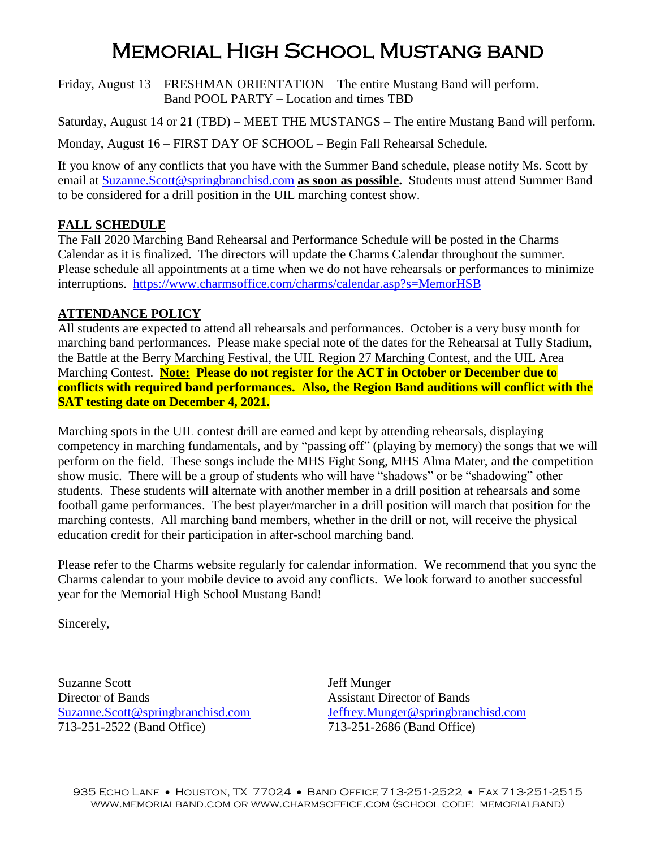# Memorial High School Mustang band

Friday, August 13 – FRESHMAN ORIENTATION – The entire Mustang Band will perform. Band POOL PARTY – Location and times TBD

Saturday, August 14 or 21 (TBD) – MEET THE MUSTANGS – The entire Mustang Band will perform.

Monday, August 16 – FIRST DAY OF SCHOOL – Begin Fall Rehearsal Schedule.

If you know of any conflicts that you have with the Summer Band schedule, please notify Ms. Scott by email at [Suzanne.Scott@springbranchisd.com](mailto:Suzanne.Scott@springbranchisd.com) **as soon as possible.** Students must attend Summer Band to be considered for a drill position in the UIL marching contest show.

### **FALL SCHEDULE**

The Fall 2020 Marching Band Rehearsal and Performance Schedule will be posted in the Charms Calendar as it is finalized. The directors will update the Charms Calendar throughout the summer. Please schedule all appointments at a time when we do not have rehearsals or performances to minimize interruptions. <https://www.charmsoffice.com/charms/calendar.asp?s=MemorHSB>

### **ATTENDANCE POLICY**

All students are expected to attend all rehearsals and performances. October is a very busy month for marching band performances. Please make special note of the dates for the Rehearsal at Tully Stadium, the Battle at the Berry Marching Festival, the UIL Region 27 Marching Contest, and the UIL Area Marching Contest. **Note: Please do not register for the ACT in October or December due to conflicts with required band performances. Also, the Region Band auditions will conflict with the SAT testing date on December 4, 2021.**

Marching spots in the UIL contest drill are earned and kept by attending rehearsals, displaying competency in marching fundamentals, and by "passing off" (playing by memory) the songs that we will perform on the field. These songs include the MHS Fight Song, MHS Alma Mater, and the competition show music. There will be a group of students who will have "shadows" or be "shadowing" other students. These students will alternate with another member in a drill position at rehearsals and some football game performances. The best player/marcher in a drill position will march that position for the marching contests. All marching band members, whether in the drill or not, will receive the physical education credit for their participation in after-school marching band.

Please refer to the Charms website regularly for calendar information. We recommend that you sync the Charms calendar to your mobile device to avoid any conflicts. We look forward to another successful year for the Memorial High School Mustang Band!

Sincerely,

Suzanne Scott Jeff Munger Director of Bands Assistant Director of Bands 713-251-2522 (Band Office) 713-251-2686 (Band Office)

[Suzanne.Scott@springbranchisd.com](mailto:Suzanne.Scott@springbranchisd.com) [Jeffrey.Munger@springbranchisd.com](mailto:Jeffrey.Munger@springbranchisd.com)